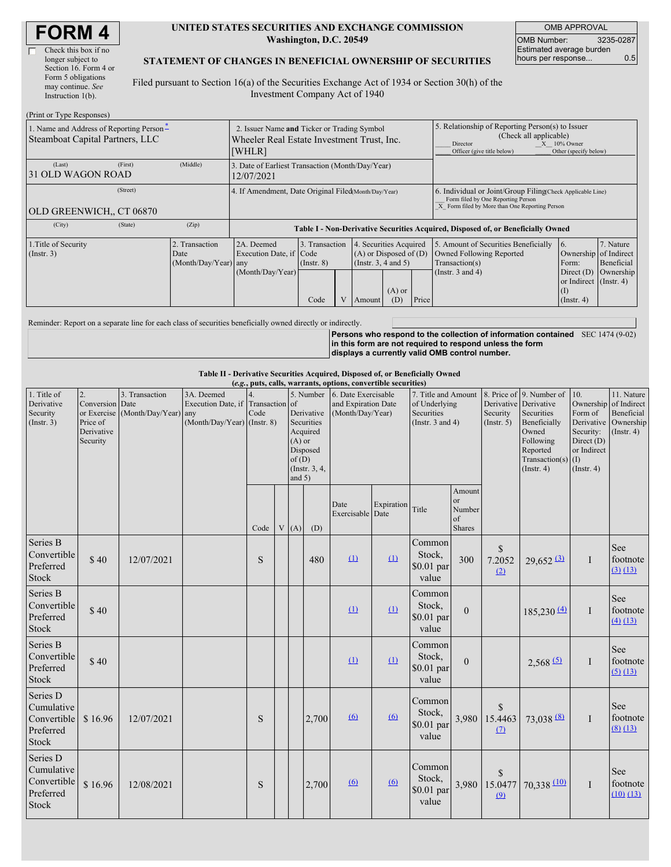$(D_{\text{min}})$  or  $T_{\text{sum}}$   $D$ 

#### **UNITED STATES SECURITIES AND EXCHANGE COMMISSION Washington, D.C. 20549**

OMB APPROVAL OMB Number: 3235-0287 Estimated average burden hours per response... 0.5

### **STATEMENT OF CHANGES IN BENEFICIAL OWNERSHIP OF SECURITIES**

Filed pursuant to Section 16(a) of the Securities Exchange Act of 1934 or Section 30(h) of the Investment Company Act of 1940

| $(1 \text{ min of 1 ypc respectively})$<br>1. Name and Address of Reporting Person-<br>Steamboat Capital Partners, LLC | 2. Issuer Name and Ticker or Trading Symbol<br>Wheeler Real Estate Investment Trust, Inc.<br>[WHLR] |                                             |                                                                                  |                                           |  | 5. Relationship of Reporting Person(s) to Issuer<br>(Check all applicable)<br>$X = 10\%$ Owner<br>Director<br>Officer (give title below)<br>Other (specify below) |                 |       |                                                                                                                                                    |                                                                                                                  |                                      |  |
|------------------------------------------------------------------------------------------------------------------------|-----------------------------------------------------------------------------------------------------|---------------------------------------------|----------------------------------------------------------------------------------|-------------------------------------------|--|-------------------------------------------------------------------------------------------------------------------------------------------------------------------|-----------------|-------|----------------------------------------------------------------------------------------------------------------------------------------------------|------------------------------------------------------------------------------------------------------------------|--------------------------------------|--|
| (Last)<br>31 OLD WAGON ROAD                                                                                            | (First)                                                                                             | (Middle)                                    | 3. Date of Earliest Transaction (Month/Day/Year)<br>12/07/2021                   |                                           |  |                                                                                                                                                                   |                 |       |                                                                                                                                                    |                                                                                                                  |                                      |  |
| OLD GREENWICH., CT 06870                                                                                               | (Street)                                                                                            |                                             | 4. If Amendment, Date Original Filed(Month/Day/Year)                             |                                           |  |                                                                                                                                                                   |                 |       | 6. Individual or Joint/Group Filing Check Applicable Line)<br>Form filed by One Reporting Person<br>X Form filed by More than One Reporting Person |                                                                                                                  |                                      |  |
| (City)                                                                                                                 | (State)                                                                                             | (Zip)                                       | Table I - Non-Derivative Securities Acquired, Disposed of, or Beneficially Owned |                                           |  |                                                                                                                                                                   |                 |       |                                                                                                                                                    |                                                                                                                  |                                      |  |
| 1. Title of Security<br>$($ Instr. 3 $)$                                                                               |                                                                                                     | Transaction<br>Date<br>(Month/Day/Year) any | 2A. Deemed<br>Execution Date, if Code<br>(Month/Day/Year)                        | 3. Transaction<br>$($ Instr. $8)$<br>Code |  | 4. Securities Acquired<br>$(A)$ or Disposed of $(D)$<br>(Instr. 3, 4 and 5)<br>Amount                                                                             | $(A)$ or<br>(D) | Price | 5. Amount of Securities Beneficially<br>Owned Following Reported<br>Transaction(s)<br>(Instr. 3 and 4)                                             | 16.<br>Ownership of Indirect<br>Form:<br>Direct $(D)$<br>or Indirect $($ Instr. 4 $)$<br>(I)<br>$($ Instr. 4 $)$ | 7. Nature<br>Beneficial<br>Ownership |  |

Reminder: Report on a separate line for each class of securities beneficially owned directly or indirectly.

**Persons who respond to the collection of information contained** SEC 1474 (9-02) **in this form are not required to respond unless the form displays a currently valid OMB control number.**

#### **Table II - Derivative Securities Acquired, Disposed of, or Beneficially Owned**

| (e.g., puts, calls, warrants, options, convertible securities)     |                                                                       |                                                |                                                                                  |      |  |                                                                                                                 |       |                                                                |            |                                                                             |                                                   |                                                  |                                                                                                                           |                                                                                                   |                                                                                    |
|--------------------------------------------------------------------|-----------------------------------------------------------------------|------------------------------------------------|----------------------------------------------------------------------------------|------|--|-----------------------------------------------------------------------------------------------------------------|-------|----------------------------------------------------------------|------------|-----------------------------------------------------------------------------|---------------------------------------------------|--------------------------------------------------|---------------------------------------------------------------------------------------------------------------------------|---------------------------------------------------------------------------------------------------|------------------------------------------------------------------------------------|
| 1. Title of<br>Derivative<br>Security<br>(Insert. 3)               | 2.<br>Conversion<br>or Exercise<br>Price of<br>Derivative<br>Security | 3. Transaction<br>Date<br>(Month/Day/Year) any | 3A. Deemed<br>Execution Date, if Transaction of<br>$(Month/Day/Year)$ (Instr. 8) | Code |  | 5. Number<br>Derivative<br>Securities<br>Acquired<br>$(A)$ or<br>Disposed<br>of(D)<br>(Instr. 3, 4,<br>and $5)$ |       | 6. Date Exercisable<br>and Expiration Date<br>(Month/Day/Year) |            | 7. Title and Amount<br>of Underlying<br>Securities<br>(Instr. $3$ and $4$ ) |                                                   | Derivative Derivative<br>Security<br>(Insert. 5) | 8. Price of 9. Number of<br>Securities<br>Beneficially<br>Owned<br>Following<br>Reported<br>Transaction(s)<br>(Insert. 4) | 10.<br>Form of<br>Derivative<br>Security:<br>Direct (D)<br>or Indirect<br>(I)<br>$($ Instr. 4 $)$ | 11. Nature<br>Ownership of Indirect<br>Beneficial<br>Ownership<br>$($ Instr. 4 $)$ |
|                                                                    |                                                                       |                                                |                                                                                  | Code |  | V(A)                                                                                                            | (D)   | Date<br>Exercisable Date                                       | Expiration | Title                                                                       | Amount<br><sub>or</sub><br>Number<br>of<br>Shares |                                                  |                                                                                                                           |                                                                                                   |                                                                                    |
| Series B<br>Convertible<br>Preferred<br>Stock                      | \$40                                                                  | 12/07/2021                                     |                                                                                  | S    |  |                                                                                                                 | 480   | (1)                                                            | (1)        | Common<br>Stock,<br>$$0.01$ par<br>value                                    | 300                                               | $\mathbb{S}$<br>7.2052<br>(2)                    | $29,652$ <sup>(3)</sup>                                                                                                   | I                                                                                                 | See<br>footnote<br>(3) (13)                                                        |
| Series B<br>Convertible<br>Preferred<br><b>Stock</b>               | \$40                                                                  |                                                |                                                                                  |      |  |                                                                                                                 |       | (1)                                                            | (1)        | Common<br>Stock,<br>\$0.01 par<br>value                                     | $\theta$                                          |                                                  | 185,230(4)                                                                                                                | I                                                                                                 | See<br>footnote<br>(4) (13)                                                        |
| Series B<br>Convertible<br>Preferred<br>Stock                      | \$40                                                                  |                                                |                                                                                  |      |  |                                                                                                                 |       | (1)                                                            | (1)        | Common<br>Stock,<br>\$0.01 par<br>value                                     | $\theta$                                          |                                                  | 2,568(5)                                                                                                                  | I                                                                                                 | <b>See</b><br>footnote<br>(5) (13)                                                 |
| Series D<br>Cumulative<br>Convertible<br>Preferred<br>Stock        | \$16.96                                                               | 12/07/2021                                     |                                                                                  | S    |  |                                                                                                                 | 2,700 | $\omega$                                                       | (6)        | Common<br>Stock,<br>\$0.01 par<br>value                                     | 3,980                                             | $\mathbb{S}$<br>15.4463<br>(7)                   | $73,038$ <sup>(8)</sup>                                                                                                   | I                                                                                                 | See<br>footnote<br>(8) (13)                                                        |
| Series D<br>Cumulative<br>Convertible<br>Preferred<br><b>Stock</b> | \$16.96                                                               | 12/08/2021                                     |                                                                                  | S    |  |                                                                                                                 | 2,700 | (6)                                                            | $\omega$   | Common<br>Stock,<br>\$0.01 par<br>value                                     | 3,980                                             | $\mathbb{S}$<br>15.0477<br>(9)                   | 70,338 (10)                                                                                                               | I                                                                                                 | <b>See</b><br>footnote<br>$(10)$ $(13)$                                            |